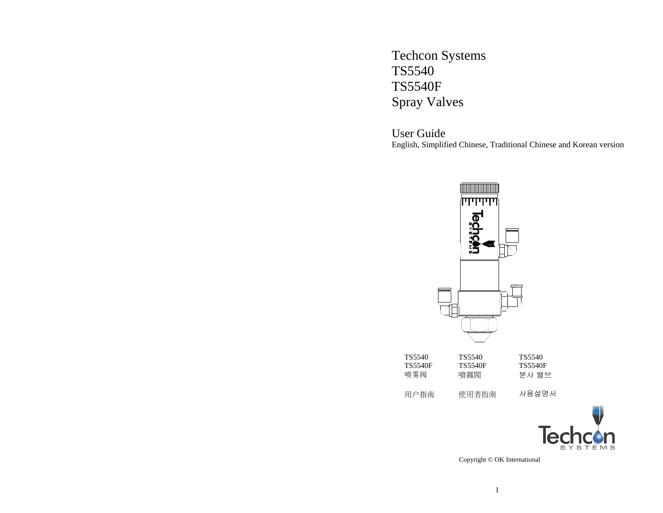Techcon Systems TS5540 TS5540F Spray Valves

User Guide English, Simplified Chinese, Traditional Chinese and Korean version





Copyright © OK International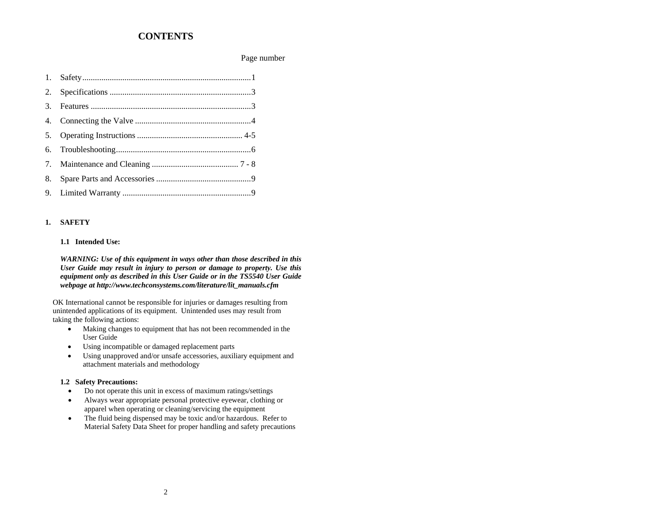### **CONTENTS**

#### Page number

#### **1. SAFETY**

#### **1.1 Intended Use:**

*WARNING: Use of this equipment in ways other than those described in this User Guide may result in injury to person or damage to property. Use this equipment only as described in this User Guide or in the TS5540 User Guide webpage at http://www.techconsystems.com/literature/lit\_manuals.cfm* 

OK International cannot be responsible for injuries or damages resulting from unintended applications of its equipment. Unintended uses may result from taking the following actions:

- Making changes to equipment that has not been recommended in the User Guide
- •Using incompatible or damaged replacement parts
- • Using unapproved and/or unsafe accessories, auxiliary equipment and attachment materials and methodology

#### **1.2 Safety Precautions:**

- $\bullet$ Do not operate this unit in excess of maximum ratings/settings
- • Always wear appropriate personal protective eyewear, clothing or apparel when operating or cleaning/servicing the equipment
- • The fluid being dispensed may be toxic and/or hazardous. Refer to Material Safety Data Sheet for proper handling and safety precautions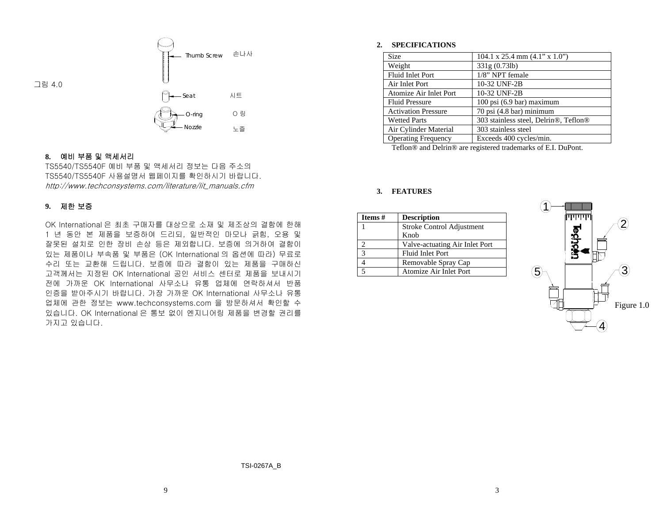

### **8.** 예비 부품 및 액세서리

TS5540/TS5540F 예비 부품 및 액세서리 정보는 다음 주소의 TS5540/TS5540F 사용설명서 웹페이지를 확인하시기 바랍니다. http://www.techconsystems.com/literature/lit\_manuals.cfm

### **9.** 제한 보증

OK International 은 최초 구매자를 대상으로 소재 및 제조상의 결함에 한해 1 년 동안 본 제품을 보증하여 드리되, 일반적인 마모나 긁힘, 오용 및 잘못된 설치로 인한 장비 손상 등은 제외합니다. 보증에 의거하여 결함이 있는 제품이나 부속품 및 부품은 (OK International 의 옵션에 따라) 무료로 수리 또는 교환해 드립니다. 보증에 따라 결함이 있는 제품을 구매하신 고객께서는 지정된 OK International 공인 서비스 센터로 제품을 보내시기 전에 가까운 OK International 사무소나 유통 업체에 연락하셔서 반품 인증을 받아주시기 바랍니다. 가장 가까운 OK International 사무소나 유통 업체에 관한 정보는 www.techconsystems.com 을 방문하셔서 확인할 수 있습니다. OK International 은 통보 없이 엔지니어링 제품을 변경할 권리를 가지고 있습니다.

#### **2. SPECIFICATIONS**

| <b>Size</b>                | 104.1 x 25.4 mm $(4.1" \times 1.0")$  |
|----------------------------|---------------------------------------|
| Weight                     | 331g(0.73lb)                          |
| <b>Fluid Inlet Port</b>    | 1/8" NPT female                       |
| Air Inlet Port             | 10-32 UNF-2B                          |
| Atomize Air Inlet Port     | 10-32 UNF-2B                          |
| <b>Fluid Pressure</b>      | $100$ psi $(6.9$ bar) maximum         |
| <b>Activation Pressure</b> | 70 psi (4.8 bar) minimum              |
| <b>Wetted Parts</b>        | 303 stainless steel, Delrin®, Teflon® |
| Air Cylinder Material      | 303 stainless steel                   |
| <b>Operating Frequency</b> | Exceeds 400 cycles/min.               |

Teflon® and Delrin® are registered trademarks of E.I. DuPont.

#### **3. FEATURES**

| Items # | <b>Description</b>             |  |  |  |
|---------|--------------------------------|--|--|--|
|         | Stroke Control Adjustment      |  |  |  |
|         | Knob                           |  |  |  |
|         | Valve-actuating Air Inlet Port |  |  |  |
| 3       | <b>Fluid Inlet Port</b>        |  |  |  |
|         | Removable Spray Cap            |  |  |  |
|         | Atomize Air Inlet Port         |  |  |  |

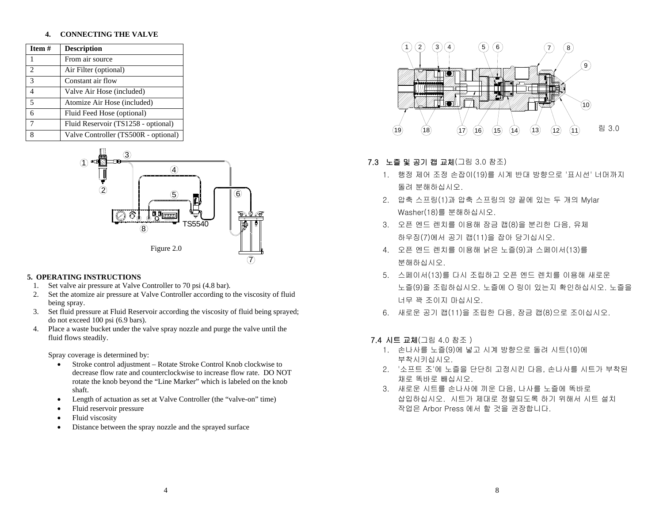#### **4.CONNECTING THE VALVE**

| Item #                      | <b>Description</b>                   |
|-----------------------------|--------------------------------------|
| 1                           | From air source                      |
| $\mathcal{D}_{\mathcal{L}}$ | Air Filter (optional)                |
| $\mathcal{R}$               | Constant air flow                    |
| Δ                           | Valve Air Hose (included)            |
| 5                           | Atomize Air Hose (included)          |
| 6                           | Fluid Feed Hose (optional)           |
| 7                           | Fluid Reservoir (TS1258 - optional)  |
| 8                           | Valve Controller (TS500R - optional) |



#### **5. OPERATING INSTRUCTIONS**

- 1.Set valve air pressure at Valve Controller to 70 psi (4.8 bar).
- 2. Set the atomize air pressure at Valve Controller according to the viscosity of fluid being spray.
- 3. Set fluid pressure at Fluid Reservoir according the viscosity of fluid being sprayed; do not exceed 100 psi (6.9 bars).
- 4. Place a waste bucket under the valve spray nozzle and purge the valve until the fluid flows steadily.

Spray coverage is determined by:

- • Stroke control adjustment – Rotate Stroke Control Knob clockwise to decrease flow rate and counterclockwise to increase flow rate. DO NOT rotate the knob beyond the "Line Marker" which is labeled on the knob shaft.
- •Length of actuation as set at Valve Controller (the "valve-on" time)
- •Fluid reservoir pressure
- •Fluid viscosity
- •Distance between the spray nozzle and the sprayed surface



### 7.3 노즐 및 공기 캡 교체(그림 3.0 참조)

- 1. 행정 제어 조정 손잡이(19)를 시계 반대 방향으로 '표시선' 너머까지 돌려 분해하십시오.
- 2. 압축 스프링(1)과 압축 스프링의 양 끝에 있는 두 개의 Mylar Washer(18)를 분해하십시오.
- 3. 오픈 엔드 렌치를 이용해 잠금 캡(8)을 분리한 다음, 유체 하우징(7)에서 공기 캡(11)을 잡아 당기십시오.
- 4. 오픈 엔드 렌치를 이용해 낡은 노즐(9)과 스페이서(13)를 분해하십시오.
- 5. 스페이서(13)를 다시 조립하고 오픈 엔드 렌치를 이용해 새로운 노즐(9)을 조립하십시오. 노즐에 O 링이 있는지 확인하십시오. 노즐을 너무 꽉 조이지 마십시오.
- 6. 새로운 공기 캡(11)을 조립한 다음, 잠금 캡(8)으로 조이십시오.

### 7.4 시트 교체(그림 4.0 참조 )

- 1. 손나사를 노즐(9)에 넣고 시계 방향으로 돌려 시트(10)에 부착시키십시오.
- 2. '소프트 조'에 노즐을 단단히 고정시킨 다음, 손나사를 시트가 부착된 채로 똑바로 빼십시오.
- 3. 새로운 시트를 손나사에 끼운 다음, 나사를 노즐에 똑바로 삽입하십시오. 시트가 제대로 정렬되도록 하기 위해서 시트 설치 작업은 Arbor Press 에서 할 것을 권장합니다.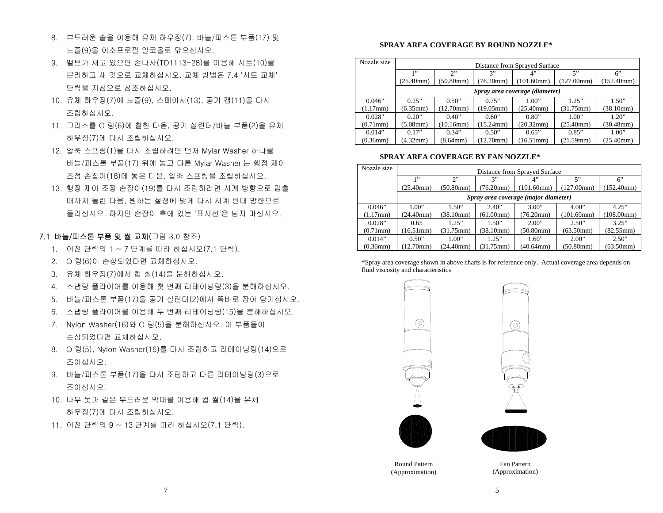- 8. 부드러운 솔을 이용해 유체 하우징(7), 바늘/피스톤 부품(17) 및 노즐(9)을 이소프로필 알코올로 닦으십시오.
- 9. 밸브가 새고 있으면 손나사(TD1113-28)를 이용해 시트(10)를 분리하고 새 것으로 교체하십시오. 교체 방법은 7.4 '시트 교체' 단락을 지침으로 참조하십시오.
- 10. 유체 하우징(7)에 노즐(9), 스페이서(13), 공기 캡(11)을 다시 조립하십시오.
- 11. 그리스를 O 링(6)에 칠한 다음, 공기 실린더/바늘 부품(2)을 유체 하우징(7)에 다시 조립하십시오.
- 12. 압축 스프링(1)을 다시 조립하려면 먼저 Mylar Washer 하나를 바늘/피스톤 부품(17) 위에 놓고 다른 Mylar Washer 는 행정 제어 조정 손잡이(18)에 놓은 다음, 압축 스프링을 조립하십시오.
- 13. 행정 제어 조정 손잡이(19)를 다시 조립하려면 시계 방향으로 멈출 때까지 돌린 다음, 원하는 설정에 맞게 다시 시계 반대 방향으로 돌리십시오. 하지만 손잡이 축에 있는 '표시선'은 넘지 마십시오.

### 7.1 바늘/피스톤 부품 및 씰 교체(그림 3.0 참조)

- 1. 이전 단락의 1 ~ 7 단계를 따라 하십시오(7.1 단락).
- 2. O 링(6)이 손상되었다면 교체하십시오.
- 3. 유체 하우징(7)에서 컵 씰(14)을 분해하십시오.
- 4. 스냅링 플라이어를 이용해 첫 번째 리테이닝링(3)을 분해하십시오.
- 5. 바늘/피스톤 부품(17)을 공기 실린더(2)에서 똑바로 잡아 당기십시오.
- 6. 스냅링 플라이어를 이용해 두 번째 리테이닝링(15)을 분해하십시오.
- 7. Nylon Washer(16)와 O 링(5)을 분해하십시오. 이 부품들이 손상되었다면 교체하십시오.
- 8. O 링(5), Nylon Washer(16)를 다시 조립하고 리테이닝링(14)으로 조이십시오.
- 9. 바늘/피스톤 부품(17)을 다시 조립하고 다른 리테이닝링(3)으로 조이십시오.
- 10. 나무 못과 같은 부드러운 막대를 이용해 컵 씰(14)을 유체 하우징(7)에 다시 조립하십시오.
- 11. 이전 단락의 9 ~ 13 단계를 따라 하십시오(7.1 단락).

### **SPRAY AREA COVERAGE BY ROUND NOZZLE\***

| Nozzle size    | Distance from Sprayed Surface |                 |                 |                                |                 |                 |
|----------------|-------------------------------|-----------------|-----------------|--------------------------------|-----------------|-----------------|
|                | 1, 9, 9                       | 2"              | 3"              | 4"                             | 5"              | $6$ "           |
|                | (25.40mm)                     | (50.80mm)       | (76.20mm)       | (101.60mm)                     | (127.00mm)      | (152.40mm)      |
|                |                               |                 |                 | Spray area coverage (diameter) |                 |                 |
| 0.046"         | 0.25"                         | 0.50"           | 0.75"           | 1.00"                          | 1.25"           | 1.50"           |
| $(1.17$ mm $)$ | $(6.35 \text{mm})$            | (12.70mm)       | (19.05mm)       | $(25.40$ mm $)$                | (31.75mm)       | (38.10mm)       |
| 0.028"         | 0.20"                         | 0.40"           | 0.60"           | 0.80"                          | 1.00"           | 1.20"           |
| $(0.71$ mm $)$ | $(5.08$ mm $)$                | $(10.16$ mm $)$ | $(15.24$ mm $)$ | (20.32mm)                      | $(25.40$ mm $)$ | $(30.48$ mm $)$ |
| 0.014"         | 0.17"                         | 0.34"           | 0.50"           | 0.65"                          | 0.85"           | 1.00"           |
| $(0.36$ mm $)$ | (4.32mm)                      | $(8.64$ mm $)$  | (12.70mm)       | (16.51mm)                      | (21.59mm)       | $(25.40$ mm $)$ |

#### **SPRAY AREA COVERAGE BY FAN NOZZLE\***

| Nozzle size    | Distance from Sprayed Surface |                     |                     |                                      |                   |            |
|----------------|-------------------------------|---------------------|---------------------|--------------------------------------|-------------------|------------|
|                | 1"                            | 2                   | 3"                  | 4"                                   | 5"                | 6"         |
|                | (25.40mm)                     | (50.80mm)           | (76.20mm)           | (101.60mm)                           | $(127.00)$ mm $)$ | (152.40mm) |
|                |                               |                     |                     | Spray area coverage (major diameter) |                   |            |
| 0.046"         | 1.00"                         | 1.50"               | 2.40"               | 3.00"                                | 4.00"             | 4.25"      |
| (1.17mm)       | (24.40mm)                     | $(38.10 \text{mm})$ | (61.00mm)           | (76.20mm)                            | (101.60mm)        | (108.00mm) |
| 0.028"         | 0.65                          | 1.25"               | 1.50"               | 2.00"                                | 2.50"             | 3.25"      |
| $(0.71$ mm $)$ | $(16.51$ mm $)$               | $(31.75 \text{mm})$ | (38.10mm)           | (50.80mm)                            | (63.50mm)         | (82.55mm)  |
| 0.014"         | 0.50"                         | 1.00"               | 1.25"               | 1.60"                                | 2.00"             | 2.50"      |
| $(0.36$ mm $)$ | (12.70mm)                     | $(24.40$ mm $)$     | $(31.75 \text{mm})$ | $(40.64$ mm $)$                      | (50.80mm)         | (63.50mm)  |

\*Spray area coverage shown in above charts is for reference only. Actual coverage area depends on fluid viscosity and characteristics



(Approximation)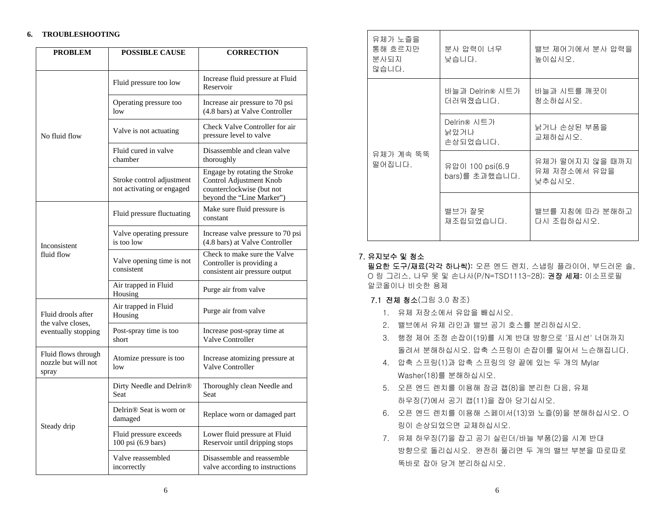#### **6. TROUBLESHOOTING**

| <b>PROBLEM</b>                                      | <b>POSSIBLE CAUSE</b>                                  | <b>CORRECTION</b>                                                                                                  |
|-----------------------------------------------------|--------------------------------------------------------|--------------------------------------------------------------------------------------------------------------------|
|                                                     | Fluid pressure too low                                 | Increase fluid pressure at Fluid<br>Reservoir                                                                      |
|                                                     | Operating pressure too<br>low                          | Increase air pressure to 70 psi<br>(4.8 bars) at Valve Controller                                                  |
| No fluid flow                                       | Valve is not actuating                                 | Check Valve Controller for air<br>pressure level to valve                                                          |
|                                                     | Fluid cured in valve<br>chamber                        | Disassemble and clean valve<br>thoroughly                                                                          |
|                                                     | Stroke control adjustment<br>not activating or engaged | Engage by rotating the Stroke<br>Control Adjustment Knob<br>counterclockwise (but not<br>beyond the "Line Marker") |
|                                                     | Fluid pressure fluctuating                             | Make sure fluid pressure is<br>constant                                                                            |
| Inconsistent                                        | Valve operating pressure<br>is too low                 | Increase valve pressure to 70 psi<br>(4.8 bars) at Valve Controller                                                |
| fluid flow                                          | Valve opening time is not<br>consistent                | Check to make sure the Valve<br>Controller is providing a<br>consistent air pressure output                        |
|                                                     | Air trapped in Fluid<br>Housing                        | Purge air from valve                                                                                               |
| Fluid drools after<br>the valve closes.             | Air trapped in Fluid<br>Housing                        | Purge air from valve                                                                                               |
| eventually stopping                                 | Post-spray time is too<br>short                        | Increase post-spray time at<br><b>Valve Controller</b>                                                             |
| Fluid flows through<br>nozzle but will not<br>spray | Atomize pressure is too<br>low                         | Increase atomizing pressure at<br><b>Valve Controller</b>                                                          |
|                                                     | Dirty Needle and Delrin <sup>®</sup><br>Seat           | Thoroughly clean Needle and<br>Seat                                                                                |
| Steady drip                                         | Delrin <sup>®</sup> Seat is worn or<br>damaged         | Replace worn or damaged part                                                                                       |
|                                                     | Fluid pressure exceeds<br>100 psi (6.9 bars)           | Lower fluid pressure at Fluid<br>Reservoir until dripping stops                                                    |
|                                                     | Valve reassembled<br>incorrectly                       | Disassemble and reassemble<br>valve according to instructions                                                      |

| 유체가 노즐을<br>통해 흐르지만<br>분사되지<br>않습니다. | 분사 압력이 너무<br>낮습니다.                | 밸브 제어기에서 분사 압력을<br>높이십시오.                 |  |
|-------------------------------------|-----------------------------------|-------------------------------------------|--|
|                                     | 바늘과 Delrin® 시트가<br>더러워졌습니다.       | 바늘과 시트를 깨끗이<br>청소하십시오.                    |  |
|                                     | Delrin® 시트가<br>낡았거나<br>손상되었습니다.   | 낡거나 손상된 부품을<br>교체하십시오.                    |  |
| 유체가 계속 뚝뚝<br>떨어집니다.                 | 유압이 100 psi(6.9<br>bars)를 초과했습니다. | 유체가 떨어지지 않을 때까지<br>유체 저장소에서 유압을<br>낮추십시오. |  |
|                                     | 밸브가 잘못<br>재조립되었습니다.               | 밸브를 지침에 따라 분해하고<br>다시 조립하십시오.             |  |

### 7. 유지보수 및 청소

필요한 도구/재료(각각 하나씩): 오픈 엔드 렌치, 스냅링 플라이어, 부드러운 솔, O 링 그리스, 나무 못 및 손나사(P/N=TSD1113-28); 권장 세제: 이소프로필 알코올이나 비슷한 용제

### **7.1 전체 청소**(그림 3.0 참조)

- 1. 유체 저장소에서 유압을 빼십시오.
- 2. 밸브에서 유체 라인과 밸브 공기 호스를 분리하십시오.
- 3. 행정 제어 조정 손잡이(19)를 시계 반대 방향으로 '표시선' 너머까지 돌려서 분해하십시오. 압축 스프링이 손잡이를 밀어서 느슨해집니다.
- 4. 압축 스프링(1)과 압축 스프링의 양 끝에 있는 두 개의 Mylar Washer(18)를 분해하십시오.
- 5. 오픈 엔드 렌치를 이용해 잠금 캡(8)을 분리한 다음, 유체 하우징(7)에서 공기 캡(11)을 잡아 당기십시오.
- 6. 오픈 엔드 렌치를 이용해 스페이서(13)와 노즐(9)을 분해하십시오. O 링이 손상되었으면 교체하십시오.
- 7. 유체 하우징(7)을 잡고 공기 실린더/바늘 부품(2)을 시계 반대 방향으로 돌리십시오. 완전히 풀리면 두 개의 밸브 부분을 따로따로 똑바로 잡아 당겨 분리하십시오.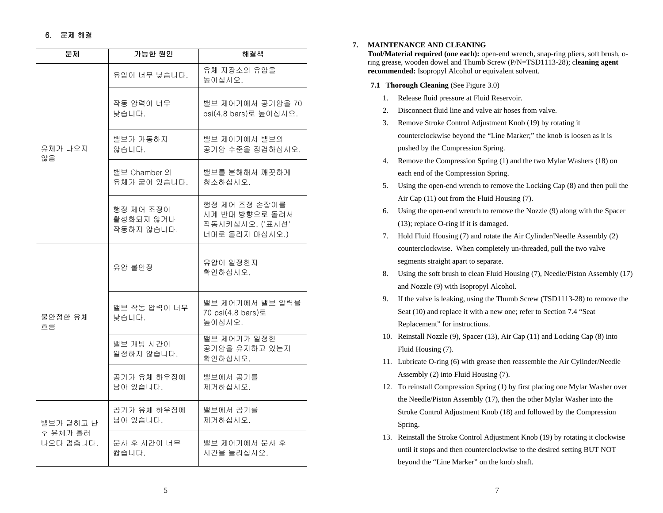### 6. 문제 해결

| 문제                    | 가능한 원인                               | 해결책                                                                  |  |  |
|-----------------------|--------------------------------------|----------------------------------------------------------------------|--|--|
|                       | 유압이 너무 낮습니다.                         | 유체 저장소의 유압을<br>높이십시오.                                                |  |  |
|                       | 작동 압력이 너무<br>낮습니다.                   | 밸브 제어기에서 공기압을 70<br>psi(4.8 bars)로 높이십시오.                            |  |  |
| 유체가 나오지<br>않음         | 밸브가 가동하지<br>않습니다.                    | 밸브 제어기에서 밸브의<br>공기압 수준을 점검하십시오.                                      |  |  |
|                       | 밸브 Chamber 의<br>유체가 굳어 있습니다.         | 밸브를 분해해서 깨끗하게<br>청소하십시오.                                             |  |  |
|                       | 행정 제어 조정이<br>활성화되지 않거나<br>작동하지 않습니다. | 행정 제어 조정 손잡이를<br>시계 반대 방향으로 돌려서<br>작동시키십시오. ('표시선'<br>너머로 돌리지 마십시오.) |  |  |
|                       | 유압 불안정                               | 유압이 일정한지<br>확인하십시오.                                                  |  |  |
| 불안정한 유체<br>흐름         | 밸브 작동 압력이 너무<br>낮습니다.                | 밸브 제어기에서 밸브 압력을<br>70 psi(4.8 bars)로<br>높이십시오.                       |  |  |
|                       | 밸브 개방 시간이<br>일정하지 않습니다.              | 밸브 제어기가 일정한<br>공기압을 유지하고 있는지<br>확인하십시오.                              |  |  |
|                       | 공기가 유체 하우징에<br>남아 있습니다.              | 밸브에서 공기를<br>제거하십시오.                                                  |  |  |
| 밸브가 닫히고 난             | 공기가 유체 하우징에<br>남아 있습니다.              | 밸브에서 공기를<br>제거하십시오.                                                  |  |  |
| 후 유체가 흘러<br>나오다 멈춥니다. | 분사 후 시간이 너무<br>짧습니다.                 | 밸브 제어기에서 분사 후<br>시간을 늘리십시오.                                          |  |  |

#### **7. MAINTENANCE AND CLEANING**

**Tool/Material required (one each):** open-end wrench, snap-ring pliers, soft brush, oring grease, wooden dowel and Thumb Screw (P/N=TSD1113-28); c**leaning agent recommended:** Isopropyl Alcohol or equivalent solvent.

#### **7.1 Thorough Cleaning** (See Figure 3.0)

- 1. Release fluid pressure at Fluid Reservoir.
- 2. Disconnect fluid line and valve air hoses from valve.
- 3. Remove Stroke Control Adjustment Knob (19) by rotating it counterclockwise beyond the "Line Marker;" the knob is loosen as it is pushed by the Compression Spring.
- 4. Remove the Compression Spring (1) and the two Mylar Washers (18) on each end of the Compression Spring.
- 5. Using the open-end wrench to remove the Locking Cap (8) and then pull the Air Cap (11) out from the Fluid Housing (7).
- 6. Using the open-end wrench to remove the Nozzle (9) along with the Spacer (13); replace O-ring if it is damaged.
- 7. Hold Fluid Housing (7) and rotate the Air Cylinder/Needle Assembly (2) counterclockwise. When completely un-threaded, pull the two valve segments straight apart to separate.
- 8. Using the soft brush to clean Fluid Housing (7), Needle/Piston Assembly (17) and Nozzle (9) with Isopropyl Alcohol.
- 9. If the valve is leaking, using the Thumb Screw (TSD1113-28) to remove the Seat (10) and replace it with a new one; refer to Section 7.4 "Seat Replacement" for instructions.
- 10. Reinstall Nozzle (9), Spacer (13), Air Cap (11) and Locking Cap (8) into Fluid Housing (7).
- 11. Lubricate O-ring (6) with grease then reassemble the Air Cylinder/Needle Assembly (2) into Fluid Housing (7).
- 12. To reinstall Compression Spring (1) by first placing one Mylar Washer over the Needle/Piston Assembly (17), then the other Mylar Washer into the Stroke Control Adjustment Knob (18) and followed by the Compression Spring.
- 13. Reinstall the Stroke Control Adjustment Knob (19) by rotating it clockwise until it stops and then counterclockwise to the desired setting BUT NOT beyond the "Line Marker" on the knob shaft.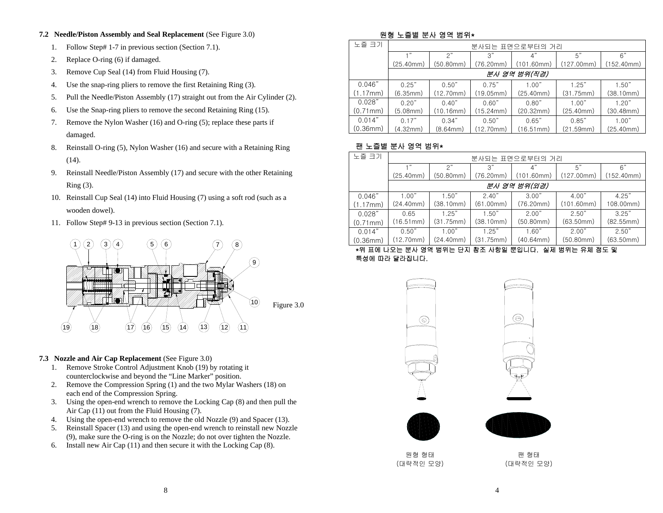#### **7.2 Needle/Piston Assembly and Seal Replacement** (See Figure 3.0)

- 1.Follow Step# 1-7 in previous section (Section 7.1).
- 2.Replace O-ring (6) if damaged.
- 3.Remove Cup Seal (14) from Fluid Housing (7).
- 4.Use the snap-ring pliers to remove the first Retaining Ring (3).
- 5.Pull the Needle/Piston Assembly (17) straight out from the Air Cylinder (2).
- 6.Use the Snap-ring pliers to remove the second Retaining Ring (15).
- 7. Remove the Nylon Washer (16) and O-ring (5); replace these parts if damaged.
- 8. Reinstall O-ring (5), Nylon Washer (16) and secure with a Retaining Ring (14).
- 9. Reinstall Needle/Piston Assembly (17) and secure with the other Retaining Ring (3).
- 10. Reinstall Cup Seal (14) into Fluid Housing (7) using a soft rod (such as a wooden dowel).
- 11. Follow Step# 9-13 in previous section (Section 7.1).



### **7.3 Nozzle and Air Cap Replacement** (See Figure 3.0)

- 1. Remove Stroke Control Adjustment Knob (19) by rotating it counterclockwise and beyond the "Line Marker" position.
- 2. Remove the Compression Spring (1) and the two Mylar Washers (18) on each end of the Compression Spring.
- 3. Using the open-end wrench to remove the Locking Cap (8) and then pull the Air Cap (11) out from the Fluid Housing (7).
- 4. Using the open-end wrench to remove the old Nozzle (9) and Spacer (13).
- 5. Reinstall Spacer (13) and using the open-end wrench to reinstall new Nozzle (9), make sure the O-ring is on the Nozzle; do not over tighten the Nozzle.
- 6. Install new Air Cap (11) and then secure it with the Locking Cap (8).

### 원형 노즐별 분사 영역 범위\*

| 노즐 크기    | 분사되는 표면으로부터의 거리 |           |           |              |            |            |
|----------|-----------------|-----------|-----------|--------------|------------|------------|
|          |                 | っ"        | 3"        |              | 5"         | 6"         |
|          | (25.40mm)       | (50.80mm) | (76.20mm) | (101.60mm)   | (127.00mm) | (152.40mm) |
|          |                 |           |           | 분사 영역 범위(직경) |            |            |
| 0.046"   | 0.25"           | 0.50"     | 0.75"     | 1.00"        | 1.25"      | 1.50"      |
| (1.17mm) | (6.35mm)        | (12.70mm) | (19.05mm) | (25.40mm)    | (31.75mm)  | (38.10mm)  |
| 0.028"   | 0.20"           | 0.40"     | 0.60"     | 0.80"        | 1.00"      | 1.20"      |
| (0.71mm) | (5.08mm)        | (10.16mm) | (15.24mm) | (20.32mm)    | (25.40mm)  | (30.48mm)  |
| 0.014"   | 0.17"           | 0.34"     | 0.50"     | 0.65"        | 0.85"      | 1.00"      |
| (0.36mm) | (4.32mm)        | (8.64mm)  | (12.70mm) | (16.51mm)    | (21.59mm)  | (25.40mm)  |

## 팬 노즐별 분사 영역 범위\*

| 노즐 크기                                                                                                                                                                                                                                                                                                                                                                                                                                         | 분사되는 표면으로부터의 거리 |           |           |              |            |            |
|-----------------------------------------------------------------------------------------------------------------------------------------------------------------------------------------------------------------------------------------------------------------------------------------------------------------------------------------------------------------------------------------------------------------------------------------------|-----------------|-----------|-----------|--------------|------------|------------|
|                                                                                                                                                                                                                                                                                                                                                                                                                                               | $+$ "           | 2"        | 3"        | 4"           | 5"         | 6"         |
|                                                                                                                                                                                                                                                                                                                                                                                                                                               | (25.40mm)       | (50.80mm) | (76.20mm) | (101.60mm)   | (127.00mm) | (152.40mm) |
|                                                                                                                                                                                                                                                                                                                                                                                                                                               |                 |           |           | 분사 영역 범위(외경) |            |            |
| 0.046"                                                                                                                                                                                                                                                                                                                                                                                                                                        | 1.00"           | 1.50"     | 2.40"     | 3.00"        | 4.00"      | 4.25"      |
| (1.17mm)                                                                                                                                                                                                                                                                                                                                                                                                                                      | (24.40mm)       | (38.10mm) | (61.00mm) | (76.20mm)    | (101.60mm) | 108.00mm)  |
| 0.028"                                                                                                                                                                                                                                                                                                                                                                                                                                        | 0.65            | 1.25"     | 1.50"     | 2.00"        | 2.50"      | 3.25"      |
| (0.71mm)                                                                                                                                                                                                                                                                                                                                                                                                                                      | (16.51mm)       | (31.75mm) | (38.10mm) | (50.80mm)    | (63.50mm)  | (82.55mm)  |
| 0.014"                                                                                                                                                                                                                                                                                                                                                                                                                                        | 0.50"           | 1.00"     | 1.25"     | 1.60"        | 2.00"      | 2.50"      |
| (0.36mm)                                                                                                                                                                                                                                                                                                                                                                                                                                      | (12.70mm)       | (24.40mm) | (31.75mm) | (40.64mm)    | (50.80mm)  | (63.50mm)  |
| $H \cap H \cap H$<br>$101.77 \times 10^{-11} \times 10^{-11} \times 10^{-11} \times 10^{-11} \times 10^{-11} \times 10^{-11} \times 10^{-11} \times 10^{-11} \times 10^{-11} \times 10^{-11} \times 10^{-11} \times 10^{-11} \times 10^{-11} \times 10^{-11} \times 10^{-11} \times 10^{-11} \times 10^{-11} \times 10^{-11} \times 10^{-11} \times 10^{-11} \times 10^{-11} \times 10^{-11} \times 10^{-11} \times 10^{-1$<br>시게 버이는 승행 쳐는 미 |                 |           |           |              |            |            |

#### \*위 표에 나오는 분사 영역 범위는 단지 참조 사항일 뿐입니다. 실제 범위는 유체 점도 및 특성에 따라 달라집니다.



원형 형태(대략적인 모양)



 $\circledcirc$ 

팬 형태(대략적인 모양)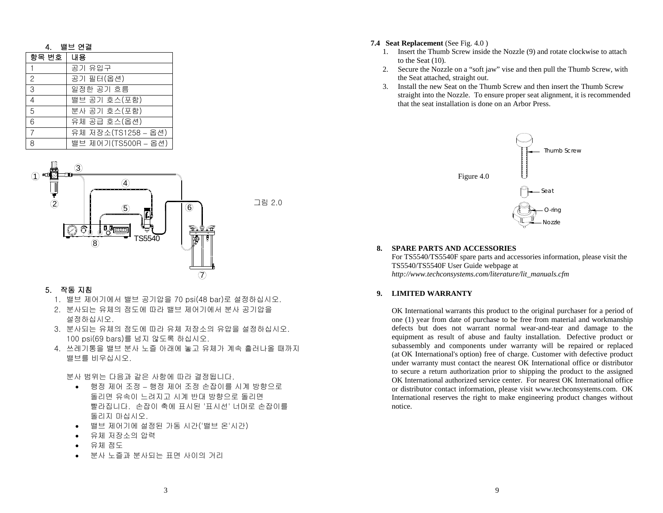| 4.             | 밸브 연결               |  |  |  |  |
|----------------|---------------------|--|--|--|--|
| 항목 번호          | 내용                  |  |  |  |  |
|                | 공기 유입구              |  |  |  |  |
| 2              | 공기 필터(옵션)           |  |  |  |  |
| 3              | 일정한 공기 흐름           |  |  |  |  |
| $\overline{4}$ | 밸브 공기 호스(포함)        |  |  |  |  |
| 5              | 분사 공기 호스(포함)        |  |  |  |  |
| 6              | 유체 공급 호스(옵션)        |  |  |  |  |
| $\overline{7}$ | 유체 저장소(TS1258 – 옵션) |  |  |  |  |
| 8              | 밸브 제어기(TS500R - 옵션) |  |  |  |  |



#### 5. 작동 지침

- 1. 밸브 제어기에서 밸브 공기압을 70 psi(48 bar)로 설정하십시오.
- 2. 분사되는 유체의 점도에 따라 밸브 제어기에서 분사 공기압을 설정하십시오.
- 3. 분사되는 유체의 점도에 따라 유체 저장소의 유압을 설정하십시오. 100 psi(69 bars)를 넘지 않도록 하십시오.
- 4. 쓰레기통을 밸브 분사 노즐 아래에 놓고 유체가 계속 흘러나올 때까지 밸브를 비우십시오.

분사 범위는 다음과 같은 사항에 따라 결정됩니다.

- 행정 제어 조정 행정 제어 조정 손잡이를 시계 방향으로 돌리면 유속이 느려지고 시계 반대 방향으로 돌리면 빨라집니다. 손잡이 축에 표시된 '표시선' 너머로 손잡이를 돌리지 마십시오.
- •밸브 제어기에 설정된 가동 시간('밸브 온'시간)
- •유체 저장소의 압력
- •유체 점도
- •분사 노즐과 분사되는 표면 사이의 거리

#### **7.4 Seat Replacement** (See Fig. 4.0 )

- 1. Insert the Thumb Screw inside the Nozzle (9) and rotate clockwise to attach to the Seat (10).
- 2. Secure the Nozzle on a "soft jaw" vise and then pull the Thumb Screw, with the Seat attached, straight out.
- 3. Install the new Seat on the Thumb Screw and then insert the Thumb Screw straight into the Nozzle. To ensure proper seat alignment, it is recommended that the seat installation is done on an Arbor Press.



#### **8. SPARE PARTS AND ACCESSORIES**

For TS5540/TS5540F spare parts and accessories information, please visit the TS5540/TS5540F User Guide webpage at *http://www.techconsystems.com/literature/lit\_manuals.cfm*

#### **9. LIMITED WARRANTY**

OK International warrants this product to the original purchaser for a period of one (1) year from date of purchase to be free from material and workmanship defects but does not warrant normal wear-and-tear and damage to the equipment as result of abuse and faulty installation. Defective product or subassembly and components under warranty will be repaired or replaced (at OK International's option) free of charge. Customer with defective product under warranty must contact the nearest OK International office or distributor to secure a return authorization prior to shipping the product to the assigned OK International authorized service center. For nearest OK International office or distributor contact information, please visit www.techconsystems.com. OK International reserves the right to make engineering product changes without notice.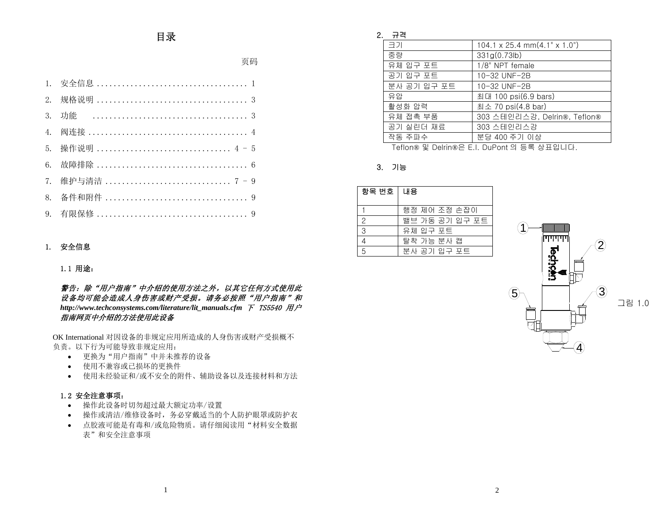# 目录

页码

| 5. 操作说明  4 - 5  |
|-----------------|
|                 |
| 7. 维护与清洁  7 - 9 |
|                 |
|                 |

#### 1. 安全信息

#### 1.1 用途:

### 警告:除"用户指南"中介绍的使用方法之外,以其它任何方式使用此 设备均可能会造成人身伤害或财产受损。请务必按照"用户指南"和 *http://www.techconsystems.com/literature/lit\_manuals.cfm* 下 TS5540 用户 指南网页中介绍的方法使用此设备

OK International 对因设备的非规定应用所造成的人身伤害或财产受损概不负责。以下行为可能导致非规定应用:

- 更换为"用户指南"中并未推荐的设备
- 使用不兼容或已损坏的更换件
- 使用未经验证和/或不安全的附件、辅助设备以及连接材料和方法

#### 1.2 安全注意事项:

- 操作此设备时切勿超过最大额定功率/设置
- 操作或清洁/维修设备时,务必穿戴适当的个人防护眼罩或防护衣
- 点胶液可能是有毒和/或危险物质。请仔细阅读用"材料安全数据表"和安全注意事项

#### 2. 규격

| 크기          | $104.1 \times 25.4$ mm $(4.1" \times 1.0")$ |
|-------------|---------------------------------------------|
| 중량          | 331g(0.73lb)                                |
| 유체 입구 포트    | 1/8" NPT female                             |
| 공기 입구 포트    | 10-32 UNF-2B                                |
| 분사 공기 입구 포트 | 10-32 UNF-2B                                |
| 유압          | 최대 100 psi(6.9 bars)                        |
| 활성화 압력      | 최소 70 psi(4.8 bar)                          |
| 유체 접촉 부품    | 303 스테인리스강, Delrin®, Teflon®                |
| 공기 실린더 재료   | 303 스테인리스강                                  |
| 작동 주파수      | 분당 400 주기 이상                                |

Teflon® 및 Delrin®은 E.I. DuPont 의 등록 상표입니다.

#### 3. 기능

| 항목 번호 │ 내용    |                |
|---------------|----------------|
|               | 행정 제어 조정 손잡이   |
| $\mathcal{P}$ | 밸브 가동 공기 입구 포트 |
| 3             | 유체 입구 포트       |
|               | 탈착 가능 분사 캡     |
| 5             | 분사 공기 입구 포트    |

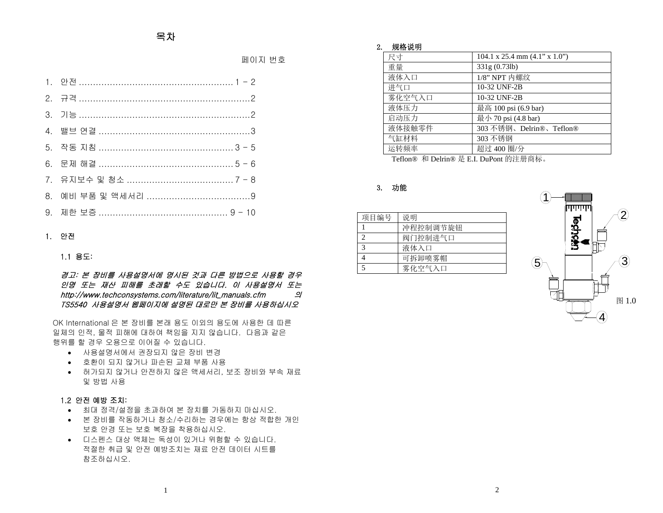페이지 번호

#### 1. 안전

### 1.1 용도:

경고: 본 장비를 사용설명서에 명시된 것과 다른 방법으로 사용할 경우 인명 또는 재산 피해를 초래할 수도 있습니다. 이 사용설명서 또는 http://www.techconsystems.com/literature/lit\_manuals.cfm 의 TS5540 사용설명서 웹페이지에 설명된 대로만 본 장비를 사용하십시오

OK International 은 본 장비를 본래 용도 이외의 용도에 사용한 데 따른 일체의 인적, 물적 피해에 대하여 책임을 지지 않습니다. 다음과 같은 행위를 할 경우 오용으로 이어질 수 있습니다.

- 사용설명서에서 권장되지 않은 장비 변경
- 호환이 되지 않거나 파손된 교체 부품 사용
- 허가되지 않거나 안전하지 않은 액세서리, 보조 장비와 부속 재료 및 방법 사용

#### 1.2 안전 예방 조치:

- 최대 정격/설정을 초과하여 본 장치를 가동하지 마십시오.
- 본 장비를 작동하거나 청소/수리하는 경우에는 항상 적합한 개인 보호 안경 또는 보호 복장을 착용하십시오.
- 디스펜스 대상 액체는 독성이 있거나 위험할 수 있습니다. 적절한 취급 및 안전 예방조치는 재료 안전 데이터 시트를 참조하십시오.

#### 2. 规格说明

| 尺寸     | $104.1 \times 25.4 \text{ mm } (4.1$ " $\times 1.0$ ") |
|--------|--------------------------------------------------------|
| 重量     | 331g (0.73lb)                                          |
| 液体入口   | $1/8$ " NPT 内螺纹                                        |
| 进气口    | 10-32 UNF-2B                                           |
| 雾化空气入口 | 10-32 UNF-2B                                           |
| 液体压力   | 最高 100 psi (6.9 bar)                                   |
| 启动压力   | 最小 70 psi (4.8 bar)                                    |
| 液体接触零件 | 303 不锈钢、Delrin®、Teflon®                                |
| 气缸材料   | 303 不锈钢                                                |
| 运转频率   | 超过 400 圈/分                                             |

Teflon® 和 Delrin® 是 E.I. DuPont 的注册商标。

#### 3. 功能

| 项目编号 | 说明       |
|------|----------|
|      | 冲程控制调节旋钮 |
|      | 阀门控制进气口  |
| 3    | 液体入口     |
|      | 可拆卸喷雾帽   |
| 5    | 雾化空气入口   |

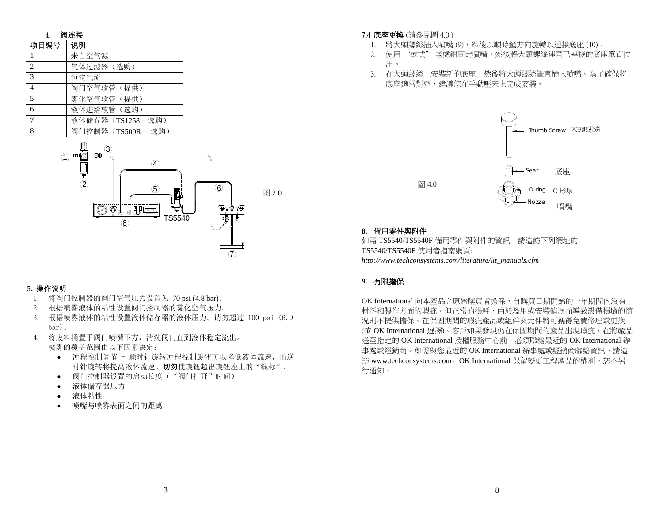| 4.             | 阀连接               |  |  |  |  |
|----------------|-------------------|--|--|--|--|
| 项目编号           | 说明                |  |  |  |  |
|                | 来自空气源             |  |  |  |  |
| $\overline{c}$ | 气体过滤器(选购)         |  |  |  |  |
| 3              | 恒定气流              |  |  |  |  |
| 4              | 阀门空气软管(提供)        |  |  |  |  |
| 5              | 雾化空气软管(提供)        |  |  |  |  |
| 6              | 液体进给软管(选购)        |  |  |  |  |
|                | 液体储存器 (TS1258-选购) |  |  |  |  |
| 8              | 阀门控制器(TS500R-选购)  |  |  |  |  |



### **5.** 操作说明

- 1. 将阀门控制器的阀门空气压力设置为 70 psi (4.8 bar)。
- 2.根据喷雾液体的粘性设置阀门控制器的雾化空气压力。
- 3. 根据喷雾液体的粘性设置液体储存器的液体压力;请勿超过 100 psi(6.9) bar)。
- 4. 将废料桶置于阀门喷嘴下方,清洗阀门直到液体稳定流出。 喷雾的覆盖范围由以下因素决定:
	- 冲程控制调节 顺时针旋转冲程控制旋钮可以降低液体流速,而逆时针旋转将提高液体流速。切勿使旋钮超出旋钮座上的"线标"。
	- •阀门控制器设置的启动长度("阀门打开"时间)
	- •液体储存器压力
	- •液体粘性
	- •喷嘴与喷雾表面之间的距离

### 7.4 底座更換 (請參見圖 4.0 )

- 1. 將大頭螺絲插入噴嘴 (9),然後以順時鐘方向旋轉以連接底座 (10)。
- 2. 使用 "軟式" 老虎鉗固定噴嘴,然後將大頭螺絲連同已連接的底座筆直拉 出。
- 3. 在大頭螺絲上安裝新的底座,然後將大頭螺絲筆直插入噴嘴。為了確保將 底座適當對齊,建議您在手動壓床上完成安裝。



### **8.** 備用零件與附件

如需 TS5540/TS5540F 備用零件與附件的資訊,請造訪下列網址的 TS5540/TS5540F 使用者指南網頁: *http://www.techconsystems.com/literature/lit\_manuals.cfm*

### **9.** 有限擔保

OK International 向本產品之原始購買者擔保,自購買日期開始的一年期間內沒有 材料和製作方面的瑕疵,但正常的損耗、由於濫用或安裝錯誤而導致設備損壞的情 況則不提供擔保。在保固期間的瑕疵產品或組件與元件將可獲得免費修理或更換 (依 OK International 選擇)。客戶如果發現仍在保固期間的產品出現瑕疵,在將產品 送至指定的 OK International 授權服務中心前,必須聯絡最近的 OK International 辦 事處或經銷商。如需與您最近的 OK International 辦事處或經銷商聯絡資訊,請造 訪 www.techconsystems.com。OK International 保留變更工程產品的權利,恕不另 行通知。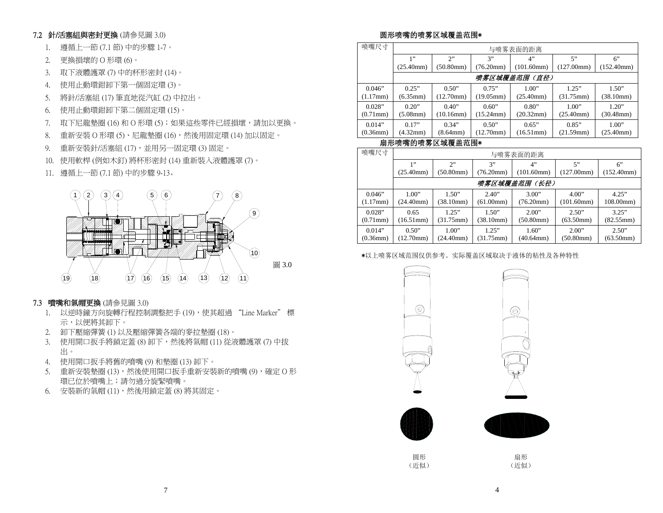### 7.2 針/活塞組與密封更換 (請參見圖 3.0)

- 1. 遵循上一節 (7.1 節) 中的步驟 1-7。
- 2. 更換損壞的 O 形環 (6)。
- 3. 取下液體護罩 (7) 中的杯形密封 (14)。
- 4. 使用止動環鉗卸下第一個固定環 (3)。
- 5. 將針/活塞組 (17) 筆直地從汽缸 (2) 中拉出。
- 6. 使用止動環鉗卸下第二個固定環 (15)。
- 7. 取下尼龍墊圈 (16) 和 O 形環 (5);如果這些零件已經損壞,請加以更換。
- 8. 重新安裝 O 形環 (5)、尼龍墊圈 (16),然後用固定環 (14) 加以固定。
- 9. 重新安裝針/活塞組 (17),並用另一固定環 (3) 固定。
- 10. 使用軟桿 (例如木釘) 將杯形密封 (14) 重新裝入液體護罩 (7)。
- 11. 遵循上一節 (7.1 節) 中的步驟 9-13。



- 7.3 噴嘴和氣帽更換 (請參見圖 3.0)
	- 1. 以逆時鐘方向旋轉行程控制調整把手 (19),使其超過 "Line Marker" 標 示,以便將其卸下。
	- 2. 卸下壓縮彈簧 (1) 以及壓縮彈簧各端的麥拉墊圈 (18)。
	- 3. 使用開口扳手將鎖定蓋 (8) 卸下,然後將氣帽 (11) 從液體護罩 (7) 中拔 出。
	- 4. 使用開口扳手將舊的噴嘴 (9) 和墊圈 (13) 卸下。
	- 5. 重新安裝墊圈 (13),然後使用開口扳手重新安裝新的噴嘴 (9),確定 O 形 環已位於噴嘴上;請勿過分旋緊噴嘴。
	- 6. 安裝新的氣帽 (11),然後用鎖定蓋 (8) 將其固定。

## 圆形喷嘴的喷雾区域覆盖范围\*

| 喷嘴尺寸                     | 与喷雾表面的距离                   |                          |                          |                          |                          |                          |
|--------------------------|----------------------------|--------------------------|--------------------------|--------------------------|--------------------------|--------------------------|
|                          | 1"                         | $\gamma$                 | 3"                       | 4"                       | 5"                       | 6"                       |
|                          | (25.40mm)                  | $(50.80$ mm $)$          | (76.20mm)                | (101.60mm)               | (127.00mm)               | (152.40mm)               |
|                          |                            |                          |                          | 喷雾区域覆盖范围(直径)             |                          |                          |
| 0.046"<br>(1.17mm)       | 0.25"<br>(6.35mm)          | 0.50"<br>$(12.70$ mm $)$ | $0.75$ "<br>(19.05mm)    | 1.00"<br>$(25.40$ mm $)$ | 1.25"<br>(31.75mm)       | 1.50"<br>(38.10mm)       |
| 0.028"<br>$(0.71$ mm $)$ | $0.20$ "<br>$(5.08$ mm $)$ | 0.40"<br>$(10.16$ mm $)$ | 0.60"<br>$(15.24$ mm $)$ | 0.80"<br>(20.32mm)       | 1.00"<br>$(25.40$ mm $)$ | 1.20"<br>$(30.48$ mm $)$ |
| 0.014"<br>$(0.36$ mm $)$ | 0.17"<br>(4.32mm)          | 0.34"<br>(8.64mm)        | 0.50"<br>(12.70mm)       | 0.65"<br>(16.51mm)       | 0.85"<br>(21.59mm)       | 1.00"<br>$(25.40$ mm $)$ |

### 扇形喷嘴的喷雾区域覆盖范围\*

| 喷嘴尺寸                     | 与喷雾表面的距离                |                              |                              |                    |                     |                    |
|--------------------------|-------------------------|------------------------------|------------------------------|--------------------|---------------------|--------------------|
|                          | 1"                      | 2                            | 3"                           | 4"                 | 5"                  | 6                  |
|                          | $(25.40$ mm $)$         | (50.80mm)                    | (76.20mm)                    | (101.60mm)         | (127.00mm)          | (152.40mm)         |
|                          |                         |                              |                              | 喷雾区域覆盖范围(长径)       |                     |                    |
| 0.046"<br>$(1.17$ mm $)$ | 1.00"<br>(24.40mm)      | 1.50"<br>(38.10mm)           | 2.40"<br>(61.00mm)           | 3.00"<br>(76.20mm) | 4.00"<br>(101.60mm) | 4.25"<br>108.00mm) |
| 0.028"<br>$(0.71$ mm $)$ | 0.65<br>$(16.51$ mm $)$ | 1.25"<br>$(31.75 \text{mm})$ | 1.50"<br>(38.10mm)           | 2.00"<br>(50.80mm) | 2.50"<br>(63.50mm)  | 3.25"<br>(82.55mm) |
| 0.014"<br>$(0.36$ mm $)$ | 0.50"<br>(12.70mm)      | 1.00"<br>(24.40mm)           | 1.25"<br>$(31.75 \text{mm})$ | 1.60"<br>(40.64mm) | 2.00"<br>(50.80mm)  | 2.50"<br>(63.50mm) |

#### \*以上喷雾区域范围仅供参考。实际覆盖区域取决于液体的粘性及各种特性





 $\circledcirc$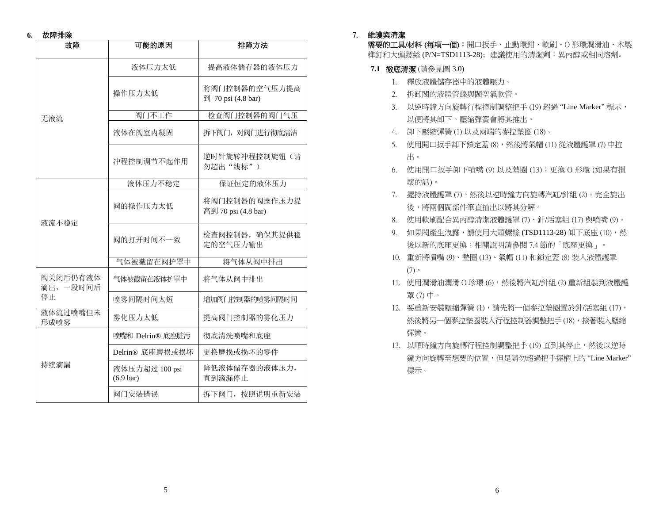#### **6.** 故障排除

| 故障                   | 可能的原因                                 | 排障方法                                 |  |  |
|----------------------|---------------------------------------|--------------------------------------|--|--|
|                      | 液体压力太低                                | 提高液体储存器的液体压力                         |  |  |
|                      | 操作压力太低                                | 将阀门控制器的空气压力提高<br>到 70 psi (4.8 bar)  |  |  |
| 无液流                  | 阀门不工作                                 | 检查阀门控制器的阀门气压                         |  |  |
|                      | 液体在阀室内凝固                              | 拆下阀门, 对阀门进行彻底清洁                      |  |  |
|                      | 冲程控制调节不起作用                            | 逆时针旋转冲程控制旋钮(请<br>勿超出"线标")            |  |  |
|                      | 液体压力不稳定                               | 保证恒定的液体压力                            |  |  |
| 液流不稳定                | 阀的操作压力太低                              | 将阀门控制器的阀操作压力提<br>高到 70 psi (4.8 bar) |  |  |
|                      | 阀的打开时间不一致                             | 检查阀控制器, 确保其提供稳<br>定的空气压力输出           |  |  |
|                      | 气体被截留在阀护罩中                            | 将气体从阀中排出                             |  |  |
| 阀关闭后仍有液体<br>滴出,一段时间后 | 气体被截留在液体护罩中                           | 将气体从阀中排出                             |  |  |
| 停止                   | 喷雾间隔时间太短                              | 增加阀门控制器的喷雾间隔时间                       |  |  |
| 液体流过喷嘴但未<br>形成喷雾     | 雾化压力太低                                | 提高阀门控制器的雾化压力                         |  |  |
|                      | 喷嘴和 Delrin® 底座脏污                      | 彻底清洗喷嘴和底座                            |  |  |
|                      | Delrin® 底座磨损或损坏                       | 更换磨损或损坏的零件                           |  |  |
| 持续滴漏                 | 液体压力超过 100 psi<br>$(6.9 \text{ bar})$ | 降低液体储存器的液体压力,<br>直到滴漏停止              |  |  |
|                      | 阀门安装错误                                | 拆下阀门, 按照说明重新安装                       |  |  |

### 7. 維護與清潔

需要的工具/材料 (每項一個):開口扳手、止動環鉗、軟刷、O 形環潤滑油、木製 榫釘和大頭螺絲 (P/N=TSD1113-28);建議使用的清潔劑:異丙醇或相同溶劑。

- **7.1** 徹底清潔 (請參見圖 3.0)
	- 1. 釋放液體儲存器中的液體壓力。
	- 2. 拆卸閥的液體管線與閥空氣軟管。
	- 3. 以逆時鐘方向旋轉行程控制調整把手 (19) 超過 "Line Marker" 標示, 以便將其卸下。壓縮彈簧會將其推出。
	- 4. 卸下壓縮彈簧 (1) 以及兩端的麥拉墊圈 (18)。
	- 5. 使用開口扳手卸下鎖定蓋 (8),然後將氣帽 (11) 從液體護罩 (7) 中拉 出。
	- 6. 使用開口扳手卸下噴嘴 (9) 以及墊圈 (13);更換 O 形環 (如果有損 壞的話)。
	- 7. 握持液體護罩(7),然後以逆時鐘方向旋轉汽缸/針組(2)。完全旋出 後,將兩個閥部件筆直抽出以將其分解。
	- 8. 使用軟刷配合異丙醇清潔液體護罩 (7)、針/活塞組 (17) 與噴嘴 (9)。
	- 9. 如果閥產生洩露,請使用大頭螺絲 (TSD1113-28) 卸下底座 (10), 然 後以新的底座更換;相關說明請參閱 7.4 節的「底座更換」。
	- 10. 重新將噴嘴 (9)、墊圈 (13)、氣帽 (11) 和鎖定蓋 (8) 裝入液體護罩 (7)。
	- 11. 使用潤滑油潤滑 O 珍環 (6),然後將汽缸/針組 (2) 重新組裝到液體護 罩 (7) 中。
	- 12. 要重新安裝壓縮彈簧 (1), 請先將一個麥拉墊圈置於針/活塞組 (17), 然後將另一個麥拉墊圈裝入行程控制器調整把手 (18),接著裝入壓縮 彈簧。
	- 13. 以順時鐘方向旋轉行程控制調整把手 (19) 直到其停止,然後以逆時 鐘方向旋轉至想要的位置,但是請勿超過把手握柄上的 "Line Marker" 標示。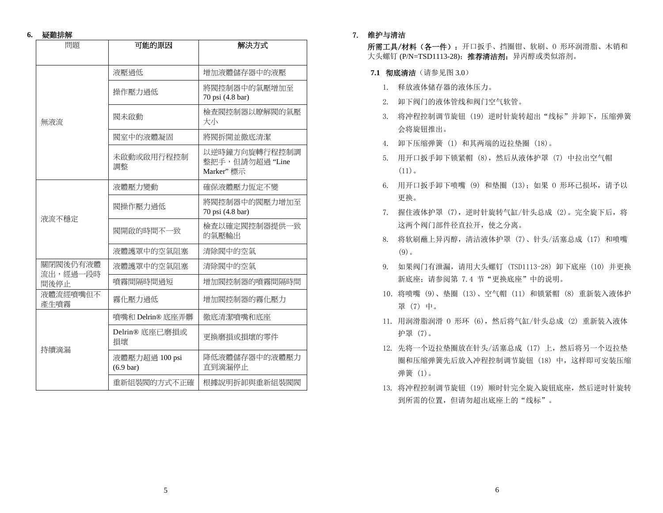#### **6.** 疑難排解

| 問題                   | 可能的原因                                 | 解決方式                                          |  |
|----------------------|---------------------------------------|-----------------------------------------------|--|
|                      | 液壓過低                                  | 增加液體儲存器中的液壓                                   |  |
|                      | 操作壓力過低                                | 將閥控制器中的氣壓增加至<br>70 psi (4.8 bar)              |  |
| 無液流                  | 閥未啟動                                  | 檢查閥控制器以瞭解閥的氣壓<br>大小                           |  |
|                      | 閥室中的液體凝固                              | 將閥拆開並徹底清潔                                     |  |
|                      | 未啟動或啟用行程控制<br>調整                      | 以逆時鐘方向旋轉行程控制調<br>整把手,但請勿超過"Line<br>Marker" 標示 |  |
|                      | 液體壓力變動                                | 確保液體壓力恆定不變                                    |  |
| 液流不穩定                | 閥操作壓力過低                               | 將閥控制器中的閥壓力增加至<br>70 psi (4.8 bar)             |  |
|                      | 閥開啟的時間不一致                             | 檢查以確定閥控制器提供一致<br>的氣壓輸出                        |  |
|                      | 液體護罩中的空氣阻塞                            | 清除閥中的空氣                                       |  |
| 關閉閥後仍有液體<br>流出,經過一段時 | 液體護罩中的空氣阻塞                            | 清除閥中的空氣                                       |  |
| 間後停止                 | 噴霧間隔時間過短                              | 增加閥控制器的噴霧間隔時間                                 |  |
| 液體流經噴嘴但不<br>產生噴霧     | 霧化壓力過低                                | 增加閥控制器的霧化壓力                                   |  |
|                      | 噴嘴和 Delrin® 底座弄髒                      | 徹底清潔噴嘴和底座                                     |  |
| 持續滴漏                 | Delrin® 底座已磨損或<br>損壞                  | 更換磨損或損壞的零件                                    |  |
|                      | 液體壓力超過 100 psi<br>$(6.9 \text{ bar})$ | 降低液體儲存器中的液體壓力<br>直到滴漏停止                       |  |
|                      | 重新組裝閥的方式不正確                           | 根據說明拆卸與重新組裝閥閥                                 |  |

#### 7. 维护与清洁

所需工具/材料(各一件): 开口扳手、挡圈钳、软刷、0形环润滑脂、木销和 大头螺钉 (P/N=TSD1113-28); 推荐清洁剂: 异丙醇或类似溶剂。

- **7.1 彻底清洁**(请参见图 3.0)
	- 1. 释放液体储存器的液体压力。
	- 2. 卸下阀门的液体管线和阀门空气软管。
	- 3. 将冲程控制调节旋钮 (19) 逆时针旋转超出"线标"并卸下,压缩弹簧会将旋钮推出。
	- 4. 卸下压缩弹簧 (1) 和其两端的迈拉垫圈 (18)。
	- 5. 用开口扳手卸下锁紧帽(8),然后从液体护罩(7)中拉出空气帽  $(11)$ .
	- 6. 用开口扳手卸下喷嘴 (9) 和垫圈 (13);如果 O 形环已损坏,请予以 更换。
	- 7. 握住液体护罩 (7),逆时针旋转气缸/针头总成 (2)。完全旋下后,将 这两个阀门部件径直拉开,使之分离。
	- 8. 将软刷蘸上异丙醇,清洁液体护罩 (7)、针头/活塞总成 (17) 和喷嘴 (9)。
	- 9. 如果阀门有泄漏,请用大头螺钉 (TSD1113-28) 卸下底座 (10) 并更换 新底座;请参阅第 7.4 节"更换底座"中的说明。
	- 10. 将喷嘴 (9)、垫圈 (13)、空气帽 (11) 和锁紧帽 (8) 重新装入液体护 罩 (7) 中。
	- 11. 用润滑脂润滑 O 形环 (6),然后将气缸/针头总成 (2) 重新装入液体 护罩 (7)。
	- 12. 先将一个迈拉垫圈放在针头/活塞总成(17)上,然后将另一个迈拉垫 圈和压缩弹簧先后放入冲程控制调节旋钮 (18) 中,这样即可安装压缩弹簧 (1)。
	- 13. 将冲程控制调节旋钮 (19) 顺时针完全旋入旋钮底座,然后逆时针旋转到所需的位置,但请勿超出底座上的"线标"。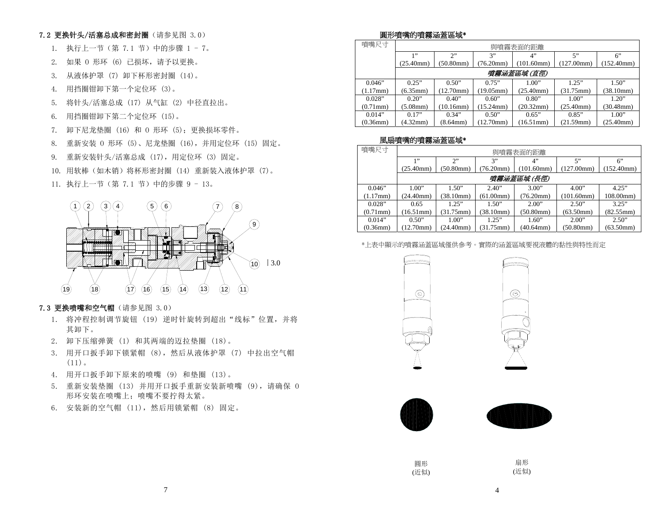### 7.2 更换针头/活塞总成和密封圈(请参见图 3.0)

- 1. 执行上一节(第 7.1 节)中的步骤 1 7。
- 2. 如果 O 形环 (6) 已损坏,请予以更换。
- 3. 从液体护罩 (7) 卸下杯形密封圈 (14)。
- 4. 用挡圈钳卸下第一个定位环 (3)。
- 5. 将针头/活塞总成 (17) 从气缸 (2) 中径直拉出。
- 6. 用挡圈钳卸下第二个定位环 (15)。
- 7. 卸下尼龙垫圈 (16) 和 O 形环 (5);更换损坏零件。
- 8. 重新安装 O 形环 (5)、尼龙垫圈 (16),并用定位环 (15) 固定。
- 9. 重新安装针头/活塞总成 (17),用定位环 (3) 固定。
- 10. 用软棒(如木销)将杯形密封圈 (14) 重新装入液体护罩 (7)。
- 11. 执行上一节(第 7.1 节)中的步骤 9 13。



### **7.3 更换喷嘴和空气帽**(请参见图 3.0)

- 1. 将冲程控制调节旋钮(19)逆时针旋转到超出"线标"位置,并将 其卸下。
- 2. 卸下压缩弹簧 (1) 和其两端的迈拉垫圈 (18)。
- 3. 用开口扳手卸下锁紧帽 (8),然后从液体护罩 (7) 中拉出空气帽  $(11)$ .
- 4. 用开口扳手卸下原来的喷嘴 (9) 和垫圈 (13)。
- 5. 重新安装垫圈 (13) 并用开口扳手重新安装新喷嘴 (9),请确保 O 形环安装在喷嘴上;喷嘴不要拧得太紧。
- 6. 安装新的空气帽 (11),然后用锁紧帽 (8) 固定。

### 圓形噴嘴的噴霧涵蓋區域\*

| 噴嘴尺寸           | 與噴霧表面的距離           |                 |                     |                 |                     |                     |
|----------------|--------------------|-----------------|---------------------|-----------------|---------------------|---------------------|
|                | 1"                 | 2               | 3"                  | 4"              | 5"                  | 6"                  |
|                | (25.40mm)          | $(50.80$ mm $)$ | (76.20mm)           | (101.60mm)      | (127.00mm)          | (152.40mm)          |
|                |                    |                 |                     | 噴霧涵蓋區域 (直徑)     |                     |                     |
| 0.046"         | 0.25"              | 0.50"           | 0.75"               | 1.00"           | 1.25"               | 1.50"               |
| (1.17mm)       | $(6.35 \text{mm})$ | 12.70mm)        | (19.05mm)           | $(25.40$ mm $)$ | $(31.75 \text{mm})$ | $(38.10 \text{mm})$ |
| 0.028"         | 0.20"              | 0.40"           | 0.60"               | 0.80"           | 1.00"               | 1.20"               |
| $(0.71$ mm $)$ | $(5.08$ mm $)$     | $10.16$ mm $)$  | $(15.24 \text{mm})$ | (20.32mm)       | (25.40mm)           | $(30.48$ mm $)$     |
| 0.014"         | 0.17"              | 0.34"           | 0.50"               | 0.65"           | 0.85"               | 1.00"               |
| $(0.36$ mm $)$ | (4.32mm)           | (8.64mm)        | (12.70mm)           | (16.51mm)       | (21.59mm)           | (25.40mm)           |

### 風扇噴嘴的噴霧涵蓋區域\*

| 噴嘴尺寸               | 與噴霧表面的距離        |                     |           |                 |            |            |
|--------------------|-----------------|---------------------|-----------|-----------------|------------|------------|
|                    | 1, 9            | 2"                  | 3"        | 4"              | 5"         | 6"         |
|                    | (25.40mm)       | (50.80mm)           | (76.20mm) | (101.60mm)      | (127.00mm) | (152.40mm) |
|                    | 噴霧涵蓋區域 (長徑)     |                     |           |                 |            |            |
| 0.046"             | 1.00"           | 1.50"               | 2.40"     | 3.00"           | 4.00"      | 4.25"      |
| $(1.17 \text{mm})$ | $(24.40$ mm $)$ | (38.10mm)           | (61.00mm) | $(76.20$ mm $)$ | (101.60mm) | 108.00mm)  |
| 0.028"             | 0.65            | 1.25"               | 1.50"     | 2.00"           | 2.50"      | 3.25"      |
| $(0.71$ mm $)$     | $16.51$ mm)     | $(31.75 \text{mm})$ | (38.10mm) | (50.80mm)       | (63.50mm)  | (82.55mm)  |
| 0.014"             | 0.50"           | 1.00"               | 1.25"     | 1.60"           | 2.00"      | 2.50"      |
| (0.36mm)           | (12.70mm)       | (24.40mm)           | (31.75mm) | (40.64mm)       | (50.80mm)  | (63.50mm)  |

#### \*上表中顯示的噴霧涵蓋區域僅供參考。實際的涵蓋區域要視液體的黏性與特性而定







| 圓形   | 扇形   |
|------|------|
| (近似) | (近似) |

4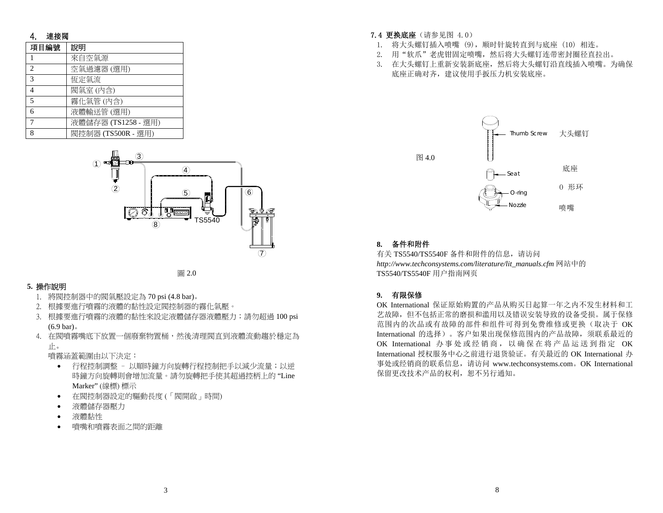### 4. 連接閥

| 項目編號          | 說明                  |
|---------------|---------------------|
|               | 來自空氣源               |
| $\mathcal{D}$ | 空氣過濾器(選用)           |
| $\mathcal{R}$ | 恆定氣流                |
| 4             | 閥氣室(内含)             |
| 5             | 霧化氣管(内含)            |
| 6             | 液體輸送管(選用)           |
|               | 液體儲存器 (TS1258 - 選用) |
| 8             | 閥控制器 (TS500R - 選用)  |





### **5.** 操作說明

- 1. 將閥控制器中的閥氣壓設定為 70 psi (4.8 bar)。
- 2. 根據要進行噴霧的液體的黏性設定閥控制器的霧化氣壓。
- 3. 根據要進行噴霧的液體的黏性來設定液體儲存器液體壓力;請勿超過 100 psi (6.9 bar)。
- 4. 在閥噴霧嘴底下放置一個廢棄物置桶,然後清理閥直到液體流動趨於穩定為 止。

噴霧涵蓋範圍由以下決定:

- • 行程控制調整 – 以順時鐘方向旋轉行程控制把手以減少流量;以逆 時鐘方向旋轉則會增加流量。請勿旋轉把手使其超過控柄上的 "Line Marker" (線標) 標示
- •在閥控制器設定的驅動長度 (「閥開啟」時間)
- •液體儲存器壓力
- •液體黏性
- •噴嘴和噴霧表面之間的距離

#### **7.4 更换底座**(请参见图 4.0)

- 1. 将大头螺钉插入喷嘴 (9),顺时针旋转直到与底座 (10) 相连。
- 2. 用"软爪"老虎钳固定喷嘴,然后将大头螺钉连带密封圈径直拉出。
- 3. 在大头螺钉上重新安装新底座,然后将大头螺钉沿直线插入喷嘴。为确保 底座正确对齐,建议使用手扳压力机安装底座。



#### **8.** 备件和附件

有关 TS5540/TS5540F 备件和附件的信息,请访问 *http://www.techconsystems.com/literature/lit\_manuals.cfm* 网站中的 TS5540/TS5540F 用户指南网页

#### **9.** 有限保修

OK International 保证原始购置的产品从购买日起算一年之内不发生材料和工艺故障,但不包括正常的磨损和滥用以及错误安装导致的设备受损。属于保修范围内的次品或有故障的部件和组件可得到免费维修或更换(取决于 OK International 的选择)。客户如果出现保修范围内的产品故障,须联系最近的OK International 办事处或经销商,以确保在将产品运送到指定 OK International 授权服务中心之前进行退货验证。有关最近的 OK International 办 事处或经销商的联系信息,请访问 www.techconsystems.com。OK International 保留更改技术产品的权利,恕不另行通知。